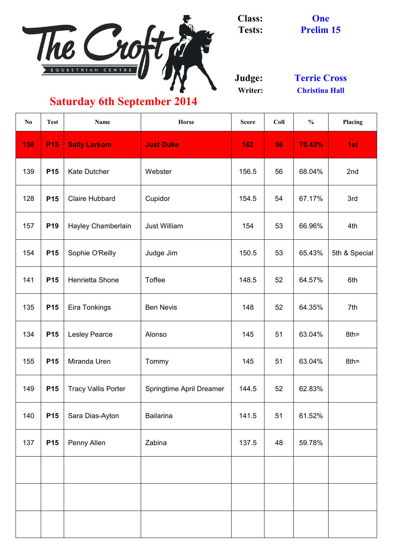

**Class: Tests:**

**Judge: Writer:**

| N <sub>0</sub> | <b>Test</b> | <b>Name</b>                | <b>Horse</b>                    | <b>Score</b> | Coll | $\frac{0}{0}$ | Placing       |
|----------------|-------------|----------------------------|---------------------------------|--------------|------|---------------|---------------|
| 158            | <b>P15</b>  | <b>Sally Larkom</b>        | <b>Just Duke</b>                | 162          | 56   | 70.43%        | 1st           |
| 139            | <b>P15</b>  | <b>Kate Dutcher</b>        | Webster                         | 156.5        | 56   | 68.04%        | 2nd           |
| 128            | <b>P15</b>  | <b>Claire Hubbard</b>      | Cupidor                         | 154.5        | 54   | 67.17%        | 3rd           |
| 157            | <b>P19</b>  | Hayley Chamberlain         | <b>Just William</b>             | 154          | 53   | 66.96%        | 4th           |
| 154            | <b>P15</b>  | Sophie O'Reilly            | Judge Jim                       | 150.5        | 53   | 65.43%        | 5th & Special |
| 141            | <b>P15</b>  | Henrietta Shone            | <b>Toffee</b>                   | 148.5        | 52   | 64.57%        | 6th           |
| 135            | <b>P15</b>  | <b>Eira Tonkings</b>       | <b>Ben Nevis</b>                | 148          | 52   | 64.35%        | 7th           |
| 134            | <b>P15</b>  | <b>Lesley Pearce</b>       | Alonso                          | 145          | 51   | 63.04%        | $8th =$       |
| 155            | <b>P15</b>  | Miranda Uren               | Tommy                           | 145          | 51   | 63.04%        | $8th =$       |
| 149            | <b>P15</b>  | <b>Tracy Vallis Porter</b> | <b>Springtime April Dreamer</b> | 144.5        | 52   | 62.83%        |               |
| 140            | <b>P15</b>  | Sara Dias-Ayton            | <b>Bailarina</b>                | 141.5        | 51   | 61.52%        |               |
| 137            | <b>P15</b>  | <b>Penny Allen</b>         | Zabina                          | 137.5        | 48   | 59.78%        |               |
|                |             |                            |                                 |              |      |               |               |
|                |             |                            |                                 |              |      |               |               |
|                |             |                            |                                 |              |      |               |               |

**Christina Hall Terrie Cross**

**One**

**Prelim 15**

# **Saturday 6th September 2014**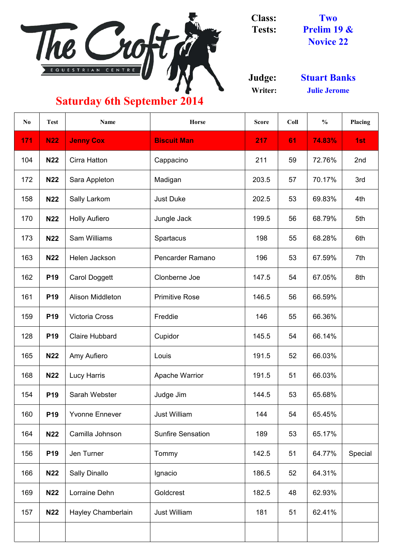**Judge: Writer:**

| N <sub>o</sub> | <b>Test</b> | <b>Name</b>               | <b>Horse</b>             | <b>Score</b> | Coll | $\frac{0}{0}$ | Placing |
|----------------|-------------|---------------------------|--------------------------|--------------|------|---------------|---------|
| 171            | <b>N22</b>  | <b>Jenny Cox</b>          | <b>Biscuit Man</b>       | 217          | 61   | 74.83%        | 1st     |
| 104            | <b>N22</b>  | <b>Cirra Hatton</b>       | Cappacino                | 211          | 59   | 72.76%        | 2nd     |
| 172            | <b>N22</b>  | Sara Appleton             | Madigan                  | 203.5        | 57   | 70.17%        | 3rd     |
| 158            | <b>N22</b>  | <b>Sally Larkom</b>       | <b>Just Duke</b>         | 202.5        | 53   | 69.83%        | 4th     |
| 170            | <b>N22</b>  | <b>Holly Aufiero</b>      | Jungle Jack              | 199.5        | 56   | 68.79%        | 5th     |
| 173            | <b>N22</b>  | <b>Sam Williams</b>       | <b>Spartacus</b>         | 198          | 55   | 68.28%        | 6th     |
| 163            | <b>N22</b>  | Helen Jackson             | <b>Pencarder Ramano</b>  | 196          | 53   | 67.59%        | 7th     |
| 162            | <b>P19</b>  | <b>Carol Doggett</b>      | Clonberne Joe            | 147.5        | 54   | 67.05%        | 8th     |
| 161            | <b>P19</b>  | <b>Alison Middleton</b>   | <b>Primitive Rose</b>    | 146.5        | 56   | 66.59%        |         |
| 159            | <b>P19</b>  | <b>Victoria Cross</b>     | Freddie                  | 146          | 55   | 66.36%        |         |
| 128            | <b>P19</b>  | <b>Claire Hubbard</b>     | Cupidor                  | 145.5        | 54   | 66.14%        |         |
| 165            | <b>N22</b>  | Amy Aufiero               | Louis                    | 191.5        | 52   | 66.03%        |         |
| 168            | <b>N22</b>  | <b>Lucy Harris</b>        | <b>Apache Warrior</b>    | 191.5        | 51   | 66.03%        |         |
| 154            | <b>P19</b>  | Sarah Webster             | Judge Jim                | 144.5        | 53   | 65.68%        |         |
| 160            | <b>P19</b>  | <b>Yvonne Ennever</b>     | <b>Just William</b>      | 144          | 54   | 65.45%        |         |
| 164            | <b>N22</b>  | Camilla Johnson           | <b>Sunfire Sensation</b> | 189          | 53   | 65.17%        |         |
| 156            | <b>P19</b>  | Jen Turner                | Tommy                    | 142.5        | 51   | 64.77%        | Special |
| 166            | <b>N22</b>  | <b>Sally Dinallo</b>      | Ignacio                  | 186.5        | 52   | 64.31%        |         |
| 169            | <b>N22</b>  | Lorraine Dehn             | <b>Goldcrest</b>         | 182.5        | 48   | 62.93%        |         |
| 157            | <b>N22</b>  | <b>Hayley Chamberlain</b> | <b>Just William</b>      | 181          | 51   | 62.41%        |         |



**Class: Tests: Two Prelim 19 & Novice 22**

> **Stuart Banks Julie Jerome**

## **Saturday 6th September 2014**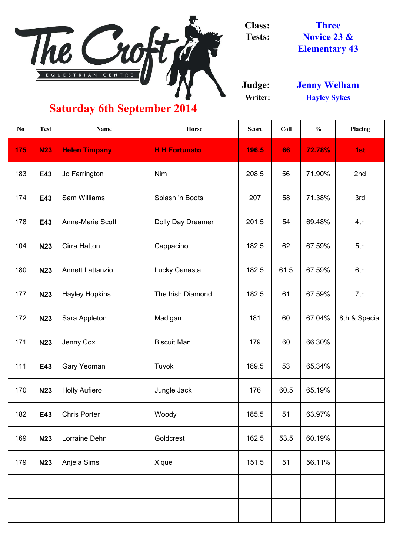

**Class: Tests:**

**Judge: Writer:**

| N <sub>0</sub> | <b>Test</b> | <b>Name</b>             | <b>Horse</b>             | <b>Score</b> | Coll | $\frac{0}{0}$ | Placing       |
|----------------|-------------|-------------------------|--------------------------|--------------|------|---------------|---------------|
| 175            | <b>N23</b>  | <b>Helen Timpany</b>    | <b>H H Fortunato</b>     | 196.5        | 66   | 72.78%        | 1st           |
| 183            | E43         | Jo Farrington           | <b>Nim</b>               | 208.5        | 56   | 71.90%        | 2nd           |
| 174            | E43         | <b>Sam Williams</b>     | Splash 'n Boots          | 207          | 58   | 71.38%        | 3rd           |
| 178            | E43         | <b>Anne-Marie Scott</b> | <b>Dolly Day Dreamer</b> | 201.5        | 54   | 69.48%        | 4th           |
| 104            | <b>N23</b>  | <b>Cirra Hatton</b>     | Cappacino                | 182.5        | 62   | 67.59%        | 5th           |
| 180            | <b>N23</b>  | <b>Annett Lattanzio</b> | Lucky Canasta            | 182.5        | 61.5 | 67.59%        | 6th           |
| 177            | <b>N23</b>  | <b>Hayley Hopkins</b>   | The Irish Diamond        | 182.5        | 61   | 67.59%        | 7th           |
| 172            | <b>N23</b>  | Sara Appleton           | Madigan                  | 181          | 60   | 67.04%        | 8th & Special |
| 171            | <b>N23</b>  | Jenny Cox               | <b>Biscuit Man</b>       | 179          | 60   | 66.30%        |               |
| 111            | E43         | <b>Gary Yeoman</b>      | Tuvok                    | 189.5        | 53   | 65.34%        |               |
| 170            | <b>N23</b>  | <b>Holly Aufiero</b>    | Jungle Jack              | 176          | 60.5 | 65.19%        |               |
| 182            | E43         | <b>Chris Porter</b>     | Woody                    | 185.5        | 51   | 63.97%        |               |
| 169            | <b>N23</b>  | Lorraine Dehn           | Goldcrest                | 162.5        | 53.5 | 60.19%        |               |
| 179            | <b>N23</b>  | Anjela Sims             | Xique                    | 151.5        | 51   | 56.11%        |               |
|                |             |                         |                          |              |      |               |               |
|                |             |                         |                          |              |      |               |               |

#### **Saturday 6th September 2014**

**Novice 23 & Elementary 43 Three**

**Hayley Sykes Jenny Welham**